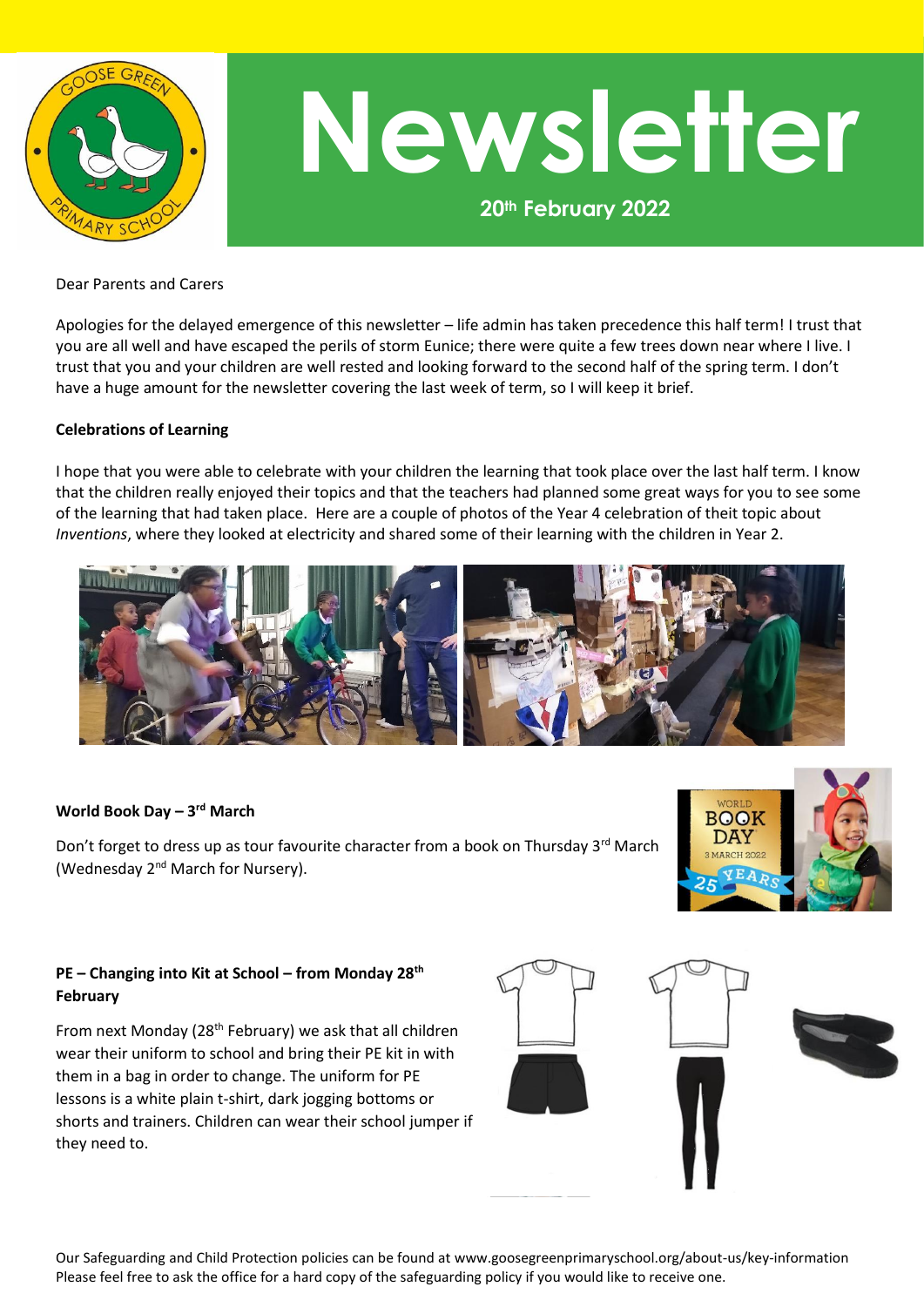

# **20th February 2022 Newsletter**

Dear Parents and Carers

Apologies for the delayed emergence of this newsletter – life admin has taken precedence this half term! I trust that you are all well and have escaped the perils of storm Eunice; there were quite a few trees down near where I live. I trust that you and your children are well rested and looking forward to the second half of the spring term. I don't have a huge amount for the newsletter covering the last week of term, so I will keep it brief.

## **Celebrations of Learning**

I hope that you were able to celebrate with your children the learning that took place over the last half term. I know that the children really enjoyed their topics and that the teachers had planned some great ways for you to see some of the learning that had taken place. Here are a couple of photos of the Year 4 celebration of theit topic about *Inventions*, where they looked at electricity and shared some of their learning with the children in Year 2.



# **World Book Day – 3 rd March**

Don't forget to dress up as tour favourite character from a book on Thursday 3<sup>rd</sup> March (Wednesday 2nd March for Nursery).



# **PE – Changing into Kit at School – from Monday 28th February**

From next Monday (28th February) we ask that all children wear their uniform to school and bring their PE kit in with them in a bag in order to change. The uniform for PE lessons is a white plain t-shirt, dark jogging bottoms or shorts and trainers. Children can wear their school jumper if they need to.



Our Safeguarding and Child Protection policies can be found at www.goosegreenprimaryschool.org/about-us/key-information Please feel free to ask the office for a hard copy of the safeguarding policy if you would like to receive one.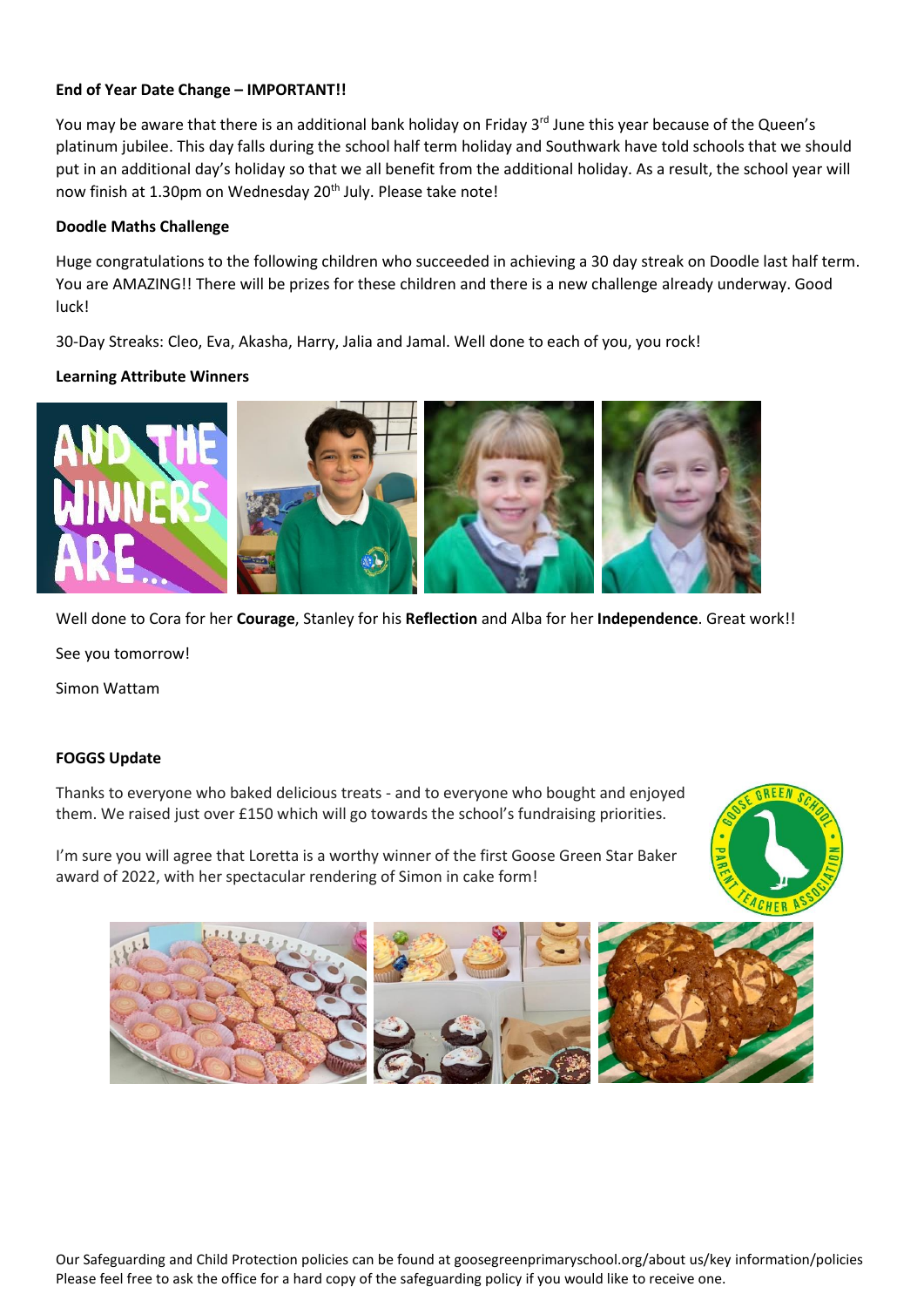# **End of Year Date Change – IMPORTANT!!**

You may be aware that there is an additional bank holiday on Friday 3<sup>rd</sup> June this year because of the Queen's platinum jubilee. This day falls during the school half term holiday and Southwark have told schools that we should put in an additional day's holiday so that we all benefit from the additional holiday. As a result, the school year will now finish at 1.30pm on Wednesday 20<sup>th</sup> July. Please take note!

#### **Doodle Maths Challenge**

Huge congratulations to the following children who succeeded in achieving a 30 day streak on Doodle last half term. You are AMAZING!! There will be prizes for these children and there is a new challenge already underway. Good luck!

30-Day Streaks: Cleo, Eva, Akasha, Harry, Jalia and Jamal. Well done to each of you, you rock!

## **Learning Attribute Winners**



Well done to Cora for her **Courage**, Stanley for his **Reflection** and Alba for her **Independence**. Great work!!

See you tomorrow!

Simon Wattam

## **FOGGS Update**

Thanks to everyone who baked delicious treats - and to everyone who bought and enjoyed them. We raised just over £150 which will go towards the school's fundraising priorities.

I'm sure you will agree that Loretta is a worthy winner of the first Goose Green Star Baker award of 2022, with her spectacular rendering of Simon in cake form!





Our Safeguarding and Child Protection policies can be found at goosegreenprimaryschool.org/about us/key information/policies Please feel free to ask the office for a hard copy of the safeguarding policy if you would like to receive one.